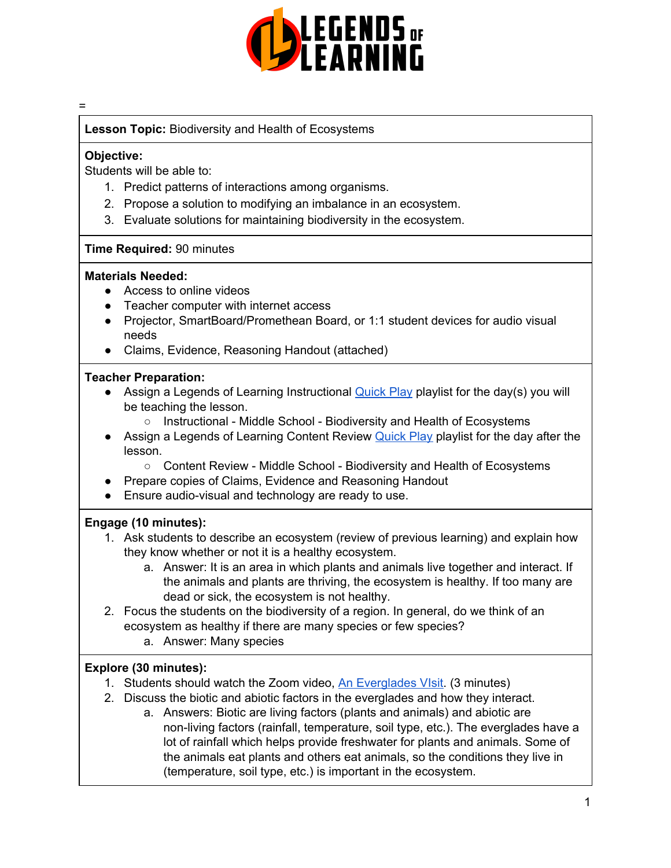

#### =

**Lesson Topic:** Biodiversity and Health of Ecosystems

#### **Objective:**

Students will be able to:

- 1. Predict patterns of interactions among organisms.
- 2. Propose a solution to modifying an imbalance in an ecosystem.
- 3. Evaluate solutions for maintaining biodiversity in the ecosystem.

### **Time Required:** 90 minutes

#### **Materials Needed:**

- Access to online videos
- Teacher computer with internet access
- Projector, SmartBoard/Promethean Board, or 1:1 student devices for audio visual needs
- Claims, Evidence, Reasoning Handout (attached)

### **Teacher Preparation:**

- Assign a Legends of Learning Instructional **[Quick](https://intercom.help/legends-of-learning/en/articles/2701866-assigning-a-quick-play-playlist) Play playlist for the day(s)** you will be teaching the lesson.
	- Instructional Middle School Biodiversity and Health of Ecosystems
- Assign a Legends of Learning Content Review [Quick](https://intercom.help/legends-of-learning/en/articles/2701866-assigning-a-quick-play-playlist) Play playlist for the day after the lesson.
	- Content Review Middle School Biodiversity and Health of Ecosystems
- Prepare copies of Claims, Evidence and Reasoning Handout
- Ensure audio-visual and technology are ready to use.

### **Engage (10 minutes):**

- 1. Ask students to describe an ecosystem (review of previous learning) and explain how they know whether or not it is a healthy ecosystem.
	- a. Answer: It is an area in which plants and animals live together and interact. If the animals and plants are thriving, the ecosystem is healthy. If too many are dead or sick, the ecosystem is not healthy.
- 2. Focus the students on the biodiversity of a region. In general, do we think of an ecosystem as healthy if there are many species or few species?
	- a. Answer: Many species

# **Explore (30 minutes):**

- 1. Students should watch the Zoom video, An [Everglades](https://scetv.pbslearningmedia.org/resource/ess05.sci.ess.watcyc.everglades/an-everglades-visit/#.Xfj6U-hKi70) VIsit. (3 minutes)
- 2. Discuss the biotic and abiotic factors in the everglades and how they interact.
	- a. Answers: Biotic are living factors (plants and animals) and abiotic are non-living factors (rainfall, temperature, soil type, etc.). The everglades have a lot of rainfall which helps provide freshwater for plants and animals. Some of the animals eat plants and others eat animals, so the conditions they live in (temperature, soil type, etc.) is important in the ecosystem.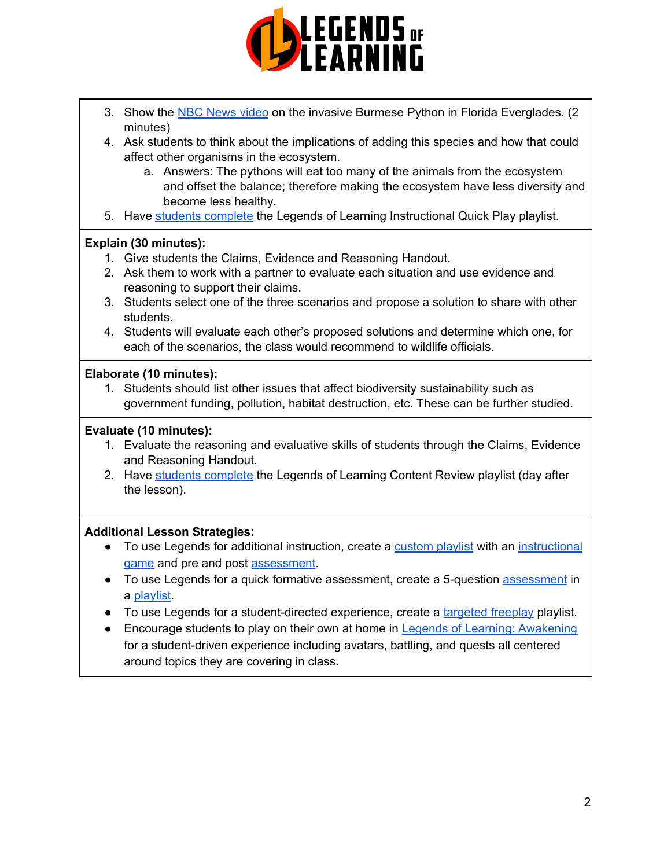

- 3. Show the NBC [News](https://www.youtube.com/watch?v=do2n-id4eP4) video on the invasive Burmese Python in Florida Everglades. (2 minutes)
- 4. Ask students to think about the implications of adding this species and how that could affect other organisms in the ecosystem.
	- a. Answers: The pythons will eat too many of the animals from the ecosystem and offset the balance; therefore making the ecosystem have less diversity and become less healthy.
- 5. Have students [complete](https://intercom.help/legends-of-learning/en/articles/2154920-students-joining-a-playlist) the Legends of Learning Instructional Quick Play playlist.

# **Explain (30 minutes):**

- 1. Give students the Claims, Evidence and Reasoning Handout.
- 2. Ask them to work with a partner to evaluate each situation and use evidence and reasoning to support their claims.
- 3. Students select one of the three scenarios and propose a solution to share with other students.
- 4. Students will evaluate each other's proposed solutions and determine which one, for each of the scenarios, the class would recommend to wildlife officials.

## **Elaborate (10 minutes):**

1. Students should list other issues that affect biodiversity sustainability such as government funding, pollution, habitat destruction, etc. These can be further studied.

# **Evaluate (10 minutes):**

- 1. Evaluate the reasoning and evaluative skills of students through the Claims, Evidence and Reasoning Handout.
- 2. Have students [complete](https://intercom.help/legends-of-learning/en/articles/2154920-students-joining-a-playlist) the Legends of Learning Content Review playlist (day after the lesson).

# **Additional Lesson Strategies:**

- To use Legends for additional instruction, create a [custom](https://intercom.help/legends-of-learning/en/articles/2154910-creating-a-playlist) playlist with an [instructional](https://intercom.help/legends-of-learning/en/articles/3505828-types-of-games) [game](https://intercom.help/legends-of-learning/en/articles/3505828-types-of-games) and pre and post [assessment](https://intercom.help/legends-of-learning/en/articles/2154913-adding-assessments-to-a-playlist).
- To use Legends for a quick formative [assessment](https://intercom.help/legends-of-learning/en/articles/2154913-adding-assessments-to-a-playlist), create a 5-question assessment in a [playlist](https://intercom.help/legends-of-learning/en/articles/2154910-creating-a-playlist).
- To use Legends for a student-directed experience, create a [targeted](https://intercom.help/legends-of-learning/en/articles/3340814-targeted-freeplay) freeplay playlist.
- Encourage students to play on their own at home in Legends of Learning: [Awakening](https://intercom.help/legends-of-learning/en/articles/2425490-legends-of-learning-awakening) for a student-driven experience including avatars, battling, and quests all centered around topics they are covering in class.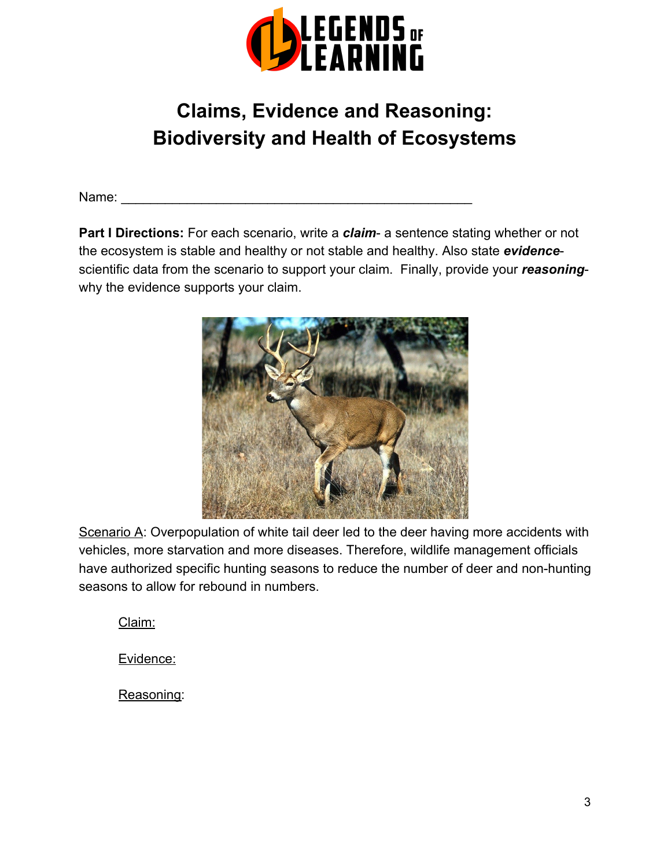

# **Claims, Evidence and Reasoning: Biodiversity and Health of Ecosystems**

Name:

**Part I Directions:** For each scenario, write a *claim*- a sentence stating whether or not the ecosystem is stable and healthy or not stable and healthy. Also state *evidence*scientific data from the scenario to support your claim. Finally, provide your *reasoning*why the evidence supports your claim.



Scenario A: Overpopulation of white tail deer led to the deer having more accidents with vehicles, more starvation and more diseases. Therefore, wildlife management officials have authorized specific hunting seasons to reduce the number of deer and non-hunting seasons to allow for rebound in numbers.

Claim:

Evidence:

Reasoning: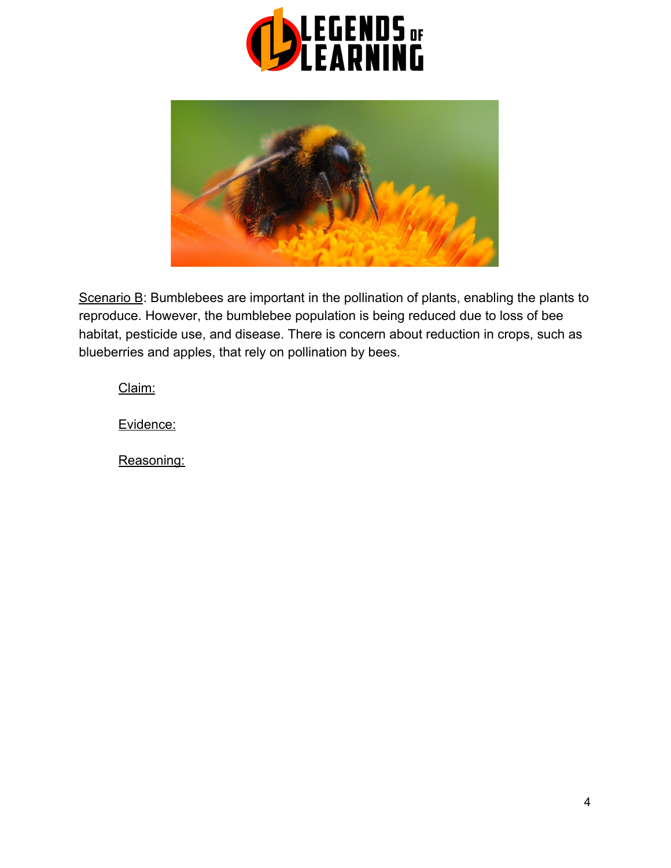



Scenario B: Bumblebees are important in the pollination of plants, enabling the plants to reproduce. However, the bumblebee population is being reduced due to loss of bee habitat, pesticide use, and disease. There is concern about reduction in crops, such as blueberries and apples, that rely on pollination by bees.

Claim:

Evidence:

Reasoning: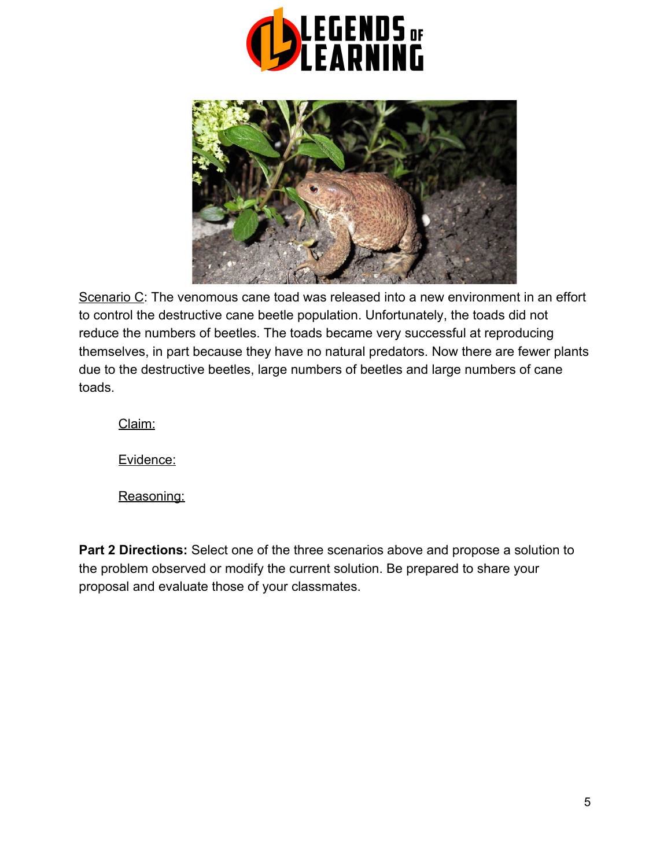



Scenario C: The venomous cane toad was released into a new environment in an effort to control the destructive cane beetle population. Unfortunately, the toads did not reduce the numbers of beetles. The toads became very successful at reproducing themselves, in part because they have no natural predators. Now there are fewer plants due to the destructive beetles, large numbers of beetles and large numbers of cane toads.

Claim:

Evidence:

Reasoning:

**Part 2 Directions:** Select one of the three scenarios above and propose a solution to the problem observed or modify the current solution. Be prepared to share your proposal and evaluate those of your classmates.